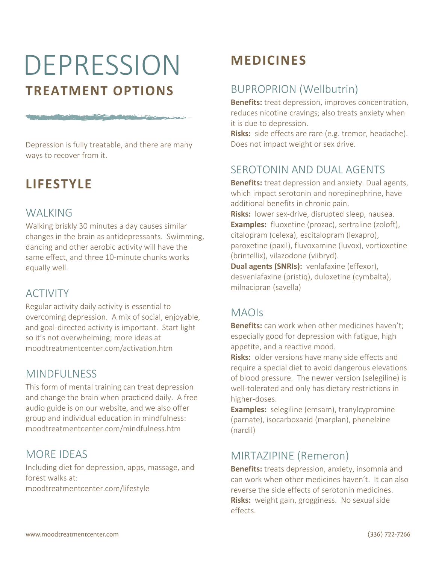# DEPRESSION **TREATMENT OPTIONS**

The company of the company of the company of the company of the company of the company of the company of the company of the company of the company of the company of the company of the company of the company of the company

Depression is fully treatable, and there are many ways to recover from it.

# **LIFESTYLE**

#### **WALKING**

Walking briskly 30 minutes a day causes similar changes in the brain as antidepressants. Swimming, dancing and other aerobic activity will have the same effect, and three 10-minute chunks works equally well.

## ACTIVITY

Regular activity daily activity is essential to overcoming depression. A mix of social, enjoyable, and goal-directed activity is important. Start light so it's not overwhelming; more ideas at moodtreatmentcenter.com/activation.htm

## MINDFULNESS

This form of mental training can treat depression and change the brain when practiced daily. A free audio guide is on our website, and we also offer group and individual education in mindfulness: moodtreatmentcenter.com/mindfulness.htm

## MORE IDEAS

Including diet for depression, apps, massage, and forest walks at: moodtreatmentcenter.com/lifestyle

# **MEDICINES**

## BUPROPRION (Wellbutrin)

**Benefits:** treat depression, improves concentration, reduces nicotine cravings; also treats anxiety when it is due to depression.

**Risks:** side effects are rare (e.g. tremor, headache). Does not impact weight or sex drive.

## SEROTONIN AND DUAL AGENTS

**Benefits:** treat depression and anxiety. Dual agents, which impact serotonin and norepinephrine, have additional benefits in chronic pain. **Risks:** lower sex-drive, disrupted sleep, nausea. **Examples:** fluoxetine (prozac), sertraline (zoloft),

citalopram (celexa), escitalopram (lexapro), paroxetine (paxil), fluvoxamine (luvox), vortioxetine (brintellix), vilazodone (viibryd).

**Dual agents (SNRIs):** venlafaxine (effexor), desvenlafaxine (pristiq), duloxetine (cymbalta), milnacipran (savella)

#### MAOIs

**Benefits:** can work when other medicines haven't; especially good for depression with fatigue, high appetite, and a reactive mood.

**Risks:** older versions have many side effects and require a special diet to avoid dangerous elevations of blood pressure. The newer version (selegiline) is well-tolerated and only has dietary restrictions in higher-doses.

**Examples:** selegiline (emsam), tranylcypromine (parnate), isocarboxazid (marplan), phenelzine (nardil)

## MIRTAZIPINE (Remeron)

**Benefits:** treats depression, anxiety, insomnia and can work when other medicines haven't. It can also reverse the side effects of serotonin medicines. **Risks:** weight gain, grogginess. No sexual side effects.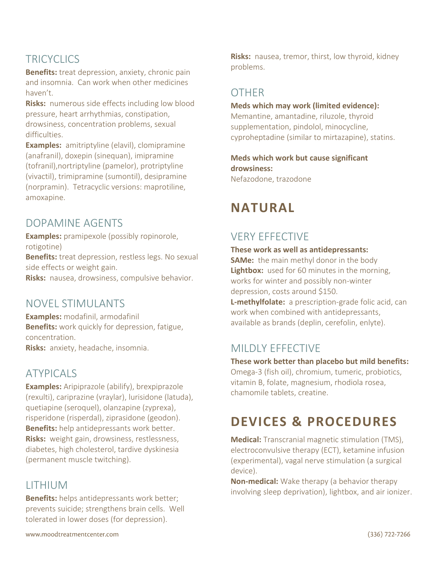## **TRICYCLICS**

**Benefits:** treat depression, anxiety, chronic pain and insomnia. Can work when other medicines haven't.

**Risks:** numerous side effects including low blood pressure, heart arrhythmias, constipation, drowsiness, concentration problems, sexual difficulties.

**Examples:** amitriptyline (elavil), clomipramine (anafranil), doxepin (sinequan), imipramine (tofranil),nortriptyline (pamelor), protriptyline (vivactil), trimipramine (sumontil), desipramine (norpramin). Tetracyclic versions: maprotiline, amoxapine.

#### DOPAMINE AGENTS

**Examples:** pramipexole (possibly ropinorole, rotigotine)

**Benefits:** treat depression, restless legs. No sexual side effects or weight gain.

**Risks:** nausea, drowsiness, compulsive behavior.

#### NOVEL STIMULANTS

**Examples:** modafinil, armodafinil **Benefits:** work quickly for depression, fatigue, concentration. **Risks:** anxiety, headache, insomnia.

#### ATYPICALS

**Examples:** Aripiprazole (abilify), brexpiprazole (rexulti), cariprazine (vraylar), lurisidone (latuda), quetiapine (seroquel), olanzapine (zyprexa), risperidone (risperdal), ziprasidone (geodon). **Benefits:** help antidepressants work better. **Risks:** weight gain, drowsiness, restlessness, diabetes, high cholesterol, tardive dyskinesia (permanent muscle twitching).

#### LITHIUM

**Benefits:** helps antidepressants work better; prevents suicide; strengthens brain cells. Well tolerated in lower doses (for depression).

**Risks:** nausea, tremor, thirst, low thyroid, kidney problems.

## OTHER

**Meds which may work (limited evidence):**

Memantine, amantadine, riluzole, thyroid supplementation, pindolol, minocycline, cyproheptadine (similar to mirtazapine), statins.

**Meds which work but cause significant drowsiness:** Nefazodone, trazodone

# **NATURAL**

### VERY EFFECTIVE

#### **These work as well as antidepressants:**

**SAMe:** the main methyl donor in the body **Lightbox:** used for 60 minutes in the morning, works for winter and possibly non-winter depression, costs around \$150.

**L-methylfolate:** a prescription-grade folic acid, can work when combined with antidepressants, available as brands (deplin, cerefolin, enlyte).

## MILDLY EFFECTIVE

#### **These work better than placebo but mild benefits:**

Omega-3 (fish oil), chromium, tumeric, probiotics, vitamin B, folate, magnesium, rhodiola rosea, chamomile tablets, creatine.

# **DEVICES & PROCEDURES**

**Medical:** Transcranial magnetic stimulation (TMS), electroconvulsive therapy (ECT), ketamine infusion (experimental), vagal nerve stimulation (a surgical device).

**Non-medical:** Wake therapy (a behavior therapy involving sleep deprivation), lightbox, and air ionizer.